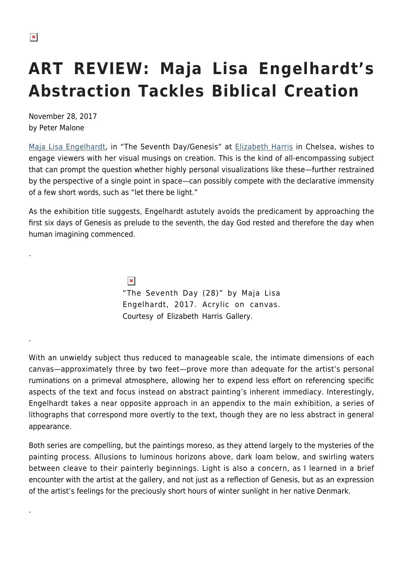.

.

.

## **ART REVIEW: Maja Lisa Engelhardt's Abstraction Tackles Biblical Creation**

November 28, 2017 by Peter Malone

[Maja Lisa Engelhardt,](https://www.ehgallery.com/maja-lisa-engelhardt/) in "The Seventh Day/Genesis" at [Elizabeth Harris](https://www.ehgallery.com) in Chelsea, wishes to engage viewers with her visual musings on creation. This is the kind of all-encompassing subject that can prompt the question whether highly personal visualizations like these—further restrained by the perspective of a single point in space—can possibly compete with the declarative immensity of a few short words, such as "let there be light."

As the exhibition title suggests, Engelhardt astutely avoids the predicament by approaching the first six days of Genesis as prelude to the seventh, the day God rested and therefore the day when human imagining commenced.

> $\pmb{\times}$ "The Seventh Day (28)" by Maja Lisa Engelhardt, 2017. Acrylic on canvas. Courtesy of Elizabeth Harris Gallery.

With an unwieldy subject thus reduced to manageable scale, the intimate dimensions of each canvas—approximately three by two feet—prove more than adequate for the artist's personal ruminations on a primeval atmosphere, allowing her to expend less effort on referencing specific aspects of the text and focus instead on abstract painting's inherent immediacy. Interestingly, Engelhardt takes a near opposite approach in an appendix to the main exhibition, a series of lithographs that correspond more overtly to the text, though they are no less abstract in general appearance.

Both series are compelling, but the paintings moreso, as they attend largely to the mysteries of the painting process. Allusions to luminous horizons above, dark loam below, and swirling waters between cleave to their painterly beginnings. Light is also a concern, as I learned in a brief encounter with the artist at the gallery, and not just as a reflection of Genesis, but as an expression of the artist's feelings for the preciously short hours of winter sunlight in her native Denmark.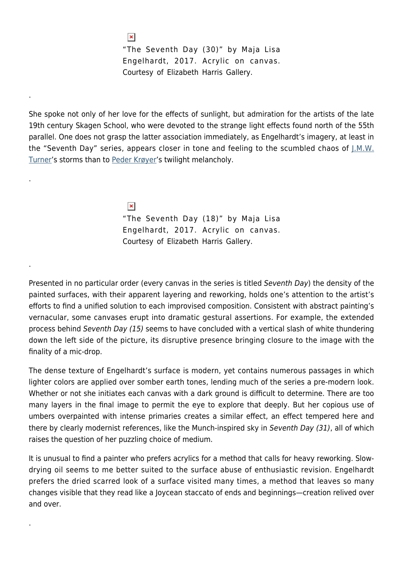```
\pmb{\times}
```
.

.

.

.

"The Seventh Day (30)" by Maja Lisa Engelhardt, 2017. Acrylic on canvas. Courtesy of Elizabeth Harris Gallery.

She spoke not only of her love for the effects of sunlight, but admiration for the artists of the late 19th century Skagen School, who were devoted to the strange light effects found north of the 55th parallel. One does not grasp the latter association immediately, as Engelhardt's imagery, at least in the "Seventh Day" series, appears closer in tone and feeling to the scumbled chaos of  $\mu_{\text{M}}$ . [Turner](https://www.william-turner.org/)'s storms than to [Peder Krøyer](https://en.wikipedia.org/wiki/Peder_Severin_Kr%C3%B8yer)'s twilight melancholy.

> $\pmb{\times}$ "The Seventh Day (18)" by Maja Lisa Engelhardt, 2017. Acrylic on canvas. Courtesy of Elizabeth Harris Gallery.

Presented in no particular order (every canvas in the series is titled Seventh Day) the density of the painted surfaces, with their apparent layering and reworking, holds one's attention to the artist's efforts to find a unified solution to each improvised composition. Consistent with abstract painting's vernacular, some canvases erupt into dramatic gestural assertions. For example, the extended process behind Seventh Day (15) seems to have concluded with a vertical slash of white thundering down the left side of the picture, its disruptive presence bringing closure to the image with the finality of a mic-drop.

The dense texture of Engelhardt's surface is modern, yet contains numerous passages in which lighter colors are applied over somber earth tones, lending much of the series a pre-modern look. Whether or not she initiates each canvas with a dark ground is difficult to determine. There are too many layers in the final image to permit the eye to explore that deeply. But her copious use of umbers overpainted with intense primaries creates a similar effect, an effect tempered here and there by clearly modernist references, like the Munch-inspired sky in Seventh Day (31), all of which raises the question of her puzzling choice of medium.

It is unusual to find a painter who prefers acrylics for a method that calls for heavy reworking. Slowdrying oil seems to me better suited to the surface abuse of enthusiastic revision. Engelhardt prefers the dried scarred look of a surface visited many times, a method that leaves so many changes visible that they read like a Joycean staccato of ends and beginnings—creation relived over and over.